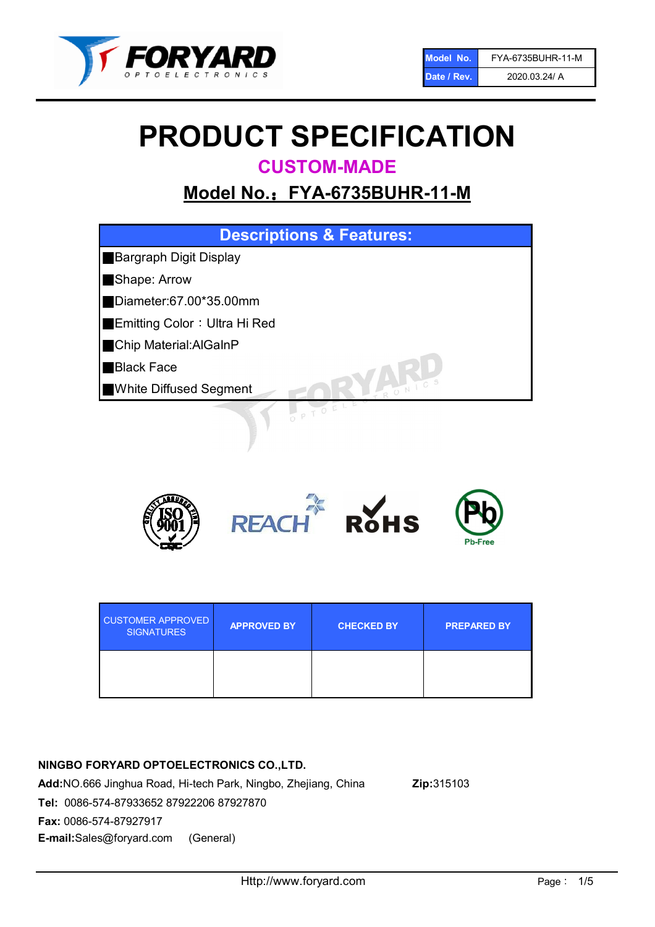

# PRODUCT SPECIFICATION

CUSTOM-MADE

# Model No.: FYA-6735BUHR-11-M





| <b>CUSTOMER APPROVED</b><br><b>SIGNATURES</b> | <b>APPROVED BY</b> | <b>CHECKED BY</b> | <b>PREPARED BY</b> |
|-----------------------------------------------|--------------------|-------------------|--------------------|
|                                               |                    |                   |                    |

# NINGBO FORYARD OPTOELECTRONICS CO.,LTD. Add:NO.666 Jinghua Road, Hi-tech Park, Ningbo, Zhejiang, China Zip:315103 Tel: 0086-574-87933652 87922206 87927870 Fax: 0086-574-87927917

E-mail:Sales@foryard.com (General)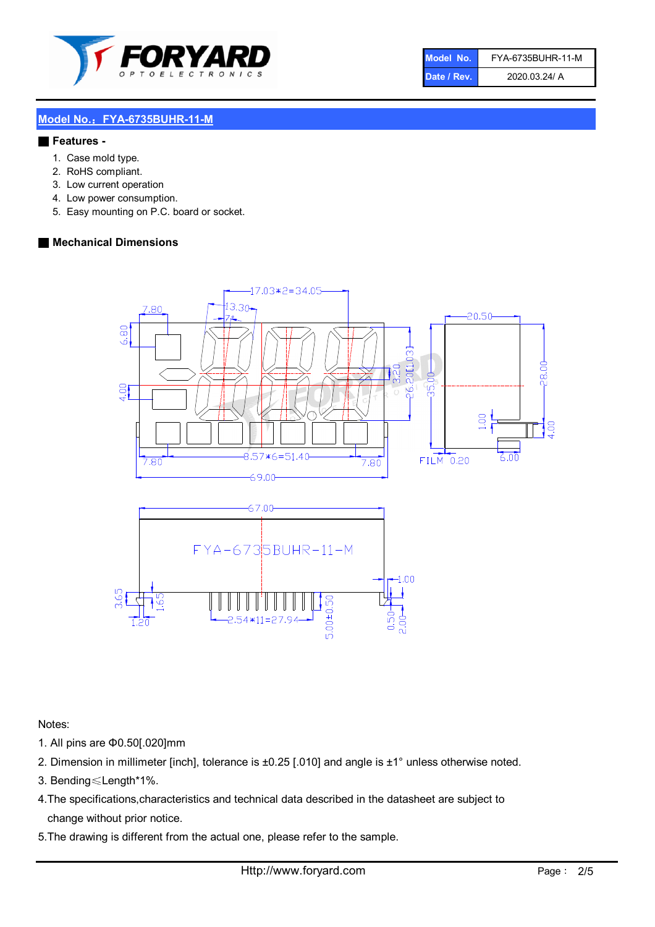

| Model No.   | FYA-6735BUHR-11-M |
|-------------|-------------------|
| Date / Rev. | 2020.03.24/ A     |

#### Model No.: FYA-6735BUHR-11-M

#### ■ Features -

- 1. Case mold type.
- 2. RoHS compliant.
- 3. Low current operation
- 4. Low power consumption.
- 5. Easy mounting on P.C. board or socket.

#### ■ Mechanical Dimensions



Notes:

- 1. All pins are Φ0.50[.020]mm
- 2. Dimension in millimeter [inch], tolerance is ±0.25 [.010] and angle is ±1° unless otherwise noted.
- 3. Bending≤Length\*1%.
- 4.The specifications,characteristics and technical data described in the datasheet are subject to change without prior notice.
- 5.The drawing is different from the actual one, please refer to the sample.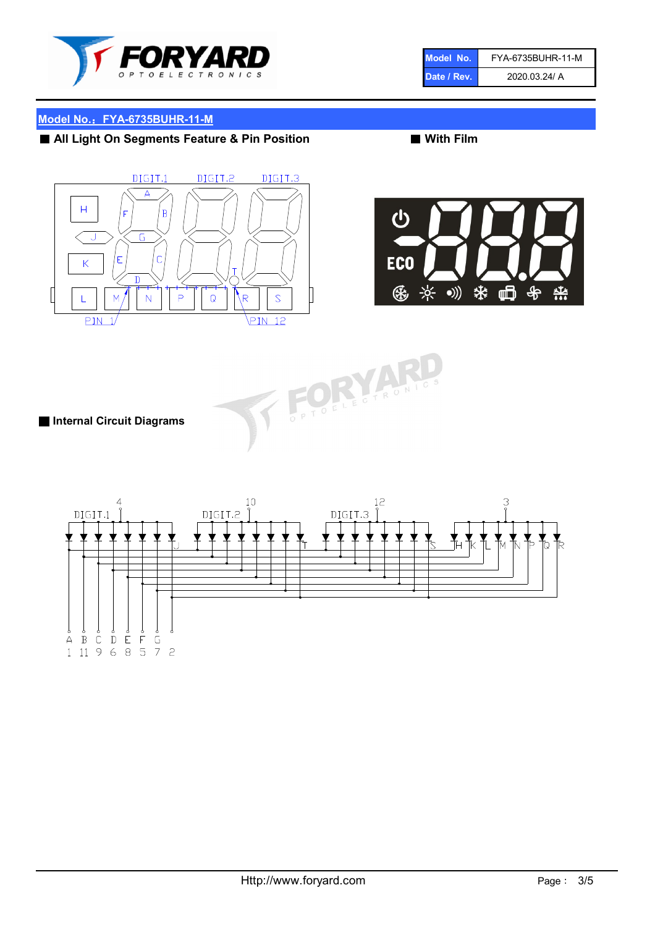

| Model No.   | FYA-6735BUHR-11-M |
|-------------|-------------------|
| Date / Rev. | 2020.03.24/ A     |

### Model No.: FYA-6735BUHR-11-M

# ■ All Light On Segments Feature & Pin Position ■ With Film





T FORYA

■ Internal Circuit Diagrams

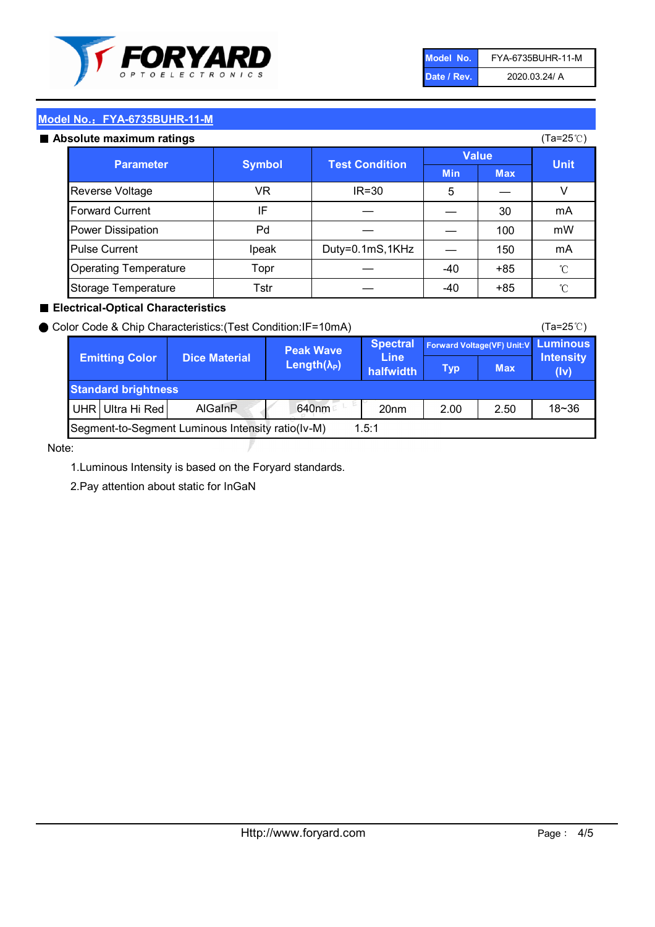

| Model No.   | FYA-6735BUHR-11-M |
|-------------|-------------------|
| Date / Rev. | 2020.03.24/ A     |

| Model No.: FYA-6735BUHR-11-M |               |                       |              |            |                    |  |
|------------------------------|---------------|-----------------------|--------------|------------|--------------------|--|
| Absolute maximum ratings     |               |                       |              |            | $(Ta=25^{\circ}C)$ |  |
| <b>Parameter</b>             |               | <b>Test Condition</b> | <b>Value</b> |            |                    |  |
|                              | <b>Symbol</b> |                       | <b>Min</b>   | <b>Max</b> | <b>Unit</b>        |  |
| <b>Reverse Voltage</b>       | VR.           | $IR = 30$             | 5            |            |                    |  |
| <b>Forward Current</b>       | IF            |                       |              | 30         | mA                 |  |
| Power Dissipation            | Pd            |                       |              | 100        | mW                 |  |
| <b>Pulse Current</b>         | Ipeak         | Duty=0.1mS,1KHz       |              | 150        | mA                 |  |
| <b>Operating Temperature</b> | Topr          |                       | -40          | $+85$      | °C                 |  |
| Storage Temperature          | Tstr          |                       | -40          | +85        | °C                 |  |

## ■ Electrical-Optical Characteristics

| <b>Emitting Color</b>                                      |                  | Color Code & Chip Characteristics: (Test Condition: IF=10mA) | <b>Peak Wave</b>            | <b>Spectral</b><br><b>Line</b><br>halfwidth | Forward Voltage(VF) Unit:V |            | <b>Luminous</b>         |
|------------------------------------------------------------|------------------|--------------------------------------------------------------|-----------------------------|---------------------------------------------|----------------------------|------------|-------------------------|
|                                                            |                  | <b>Dice Material</b>                                         | Length( $\lambda_{\rm p}$ ) |                                             | <b>Typ</b>                 | <b>Max</b> | Intensity<br>$($ lv $)$ |
| <b>Standard brightness</b>                                 |                  |                                                              |                             |                                             |                            |            |                         |
|                                                            | UHR Ultra Hi Red | <b>AlGainP</b>                                               | 640nm                       | 20 <sub>nm</sub>                            | 2.00                       | 2.50       | $18 - 36$               |
| Segment-to-Segment Luminous Intensity ratio(Iv-M)<br>1.5:1 |                  |                                                              |                             |                                             |                            |            |                         |

Note:

1.Luminous Intensity is based on the Foryard standards.

2.Pay attention about static for InGaN